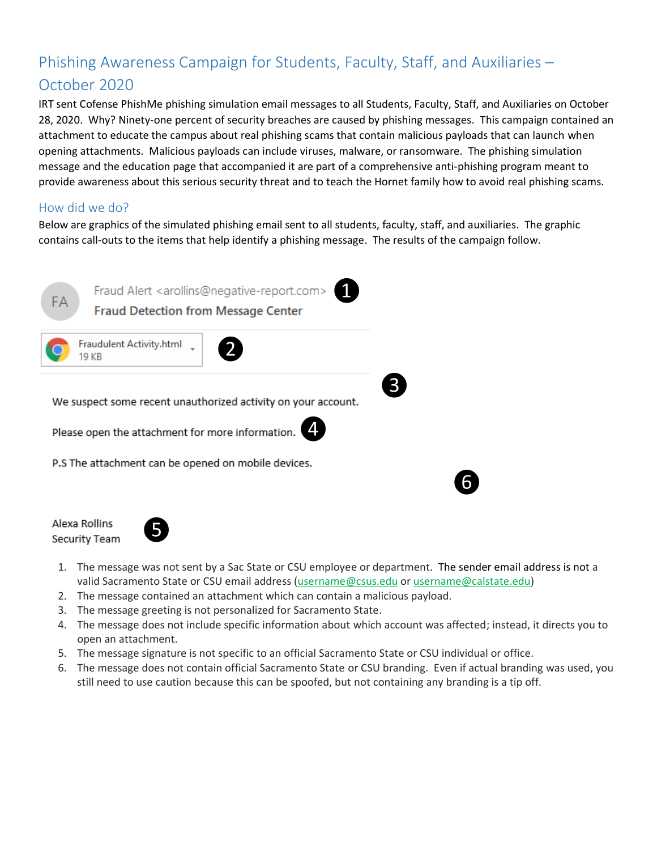# Phishing Awareness Campaign for Students, Faculty, Staff, and Auxiliaries – October 2020

IRT sent Cofense PhishMe phishing simulation email messages to all Students, Faculty, Staff, and Auxiliaries on October 28, 2020. Why? Ninety-one percent of security breaches are caused by phishing messages. This campaign contained an attachment to educate the campus about real phishing scams that contain malicious payloads that can launch when opening attachments. Malicious payloads can include viruses, malware, or ransomware. The phishing simulation message and the education page that accompanied it are part of a comprehensive anti-phishing program meant to provide awareness about this serious security threat and to teach the Hornet family how to avoid real phishing scams.

## How did we do?

Below are graphics of the simulated phishing email sent to all students, faculty, staff, and auxiliaries. The graphic contains call-outs to the items that help identify a phishing message. The results of the campaign follow.



Alexa Rollins Security Team



1. The message was not sent by a Sac State or CSU employee or department. The sender email address is not a valid Sacramento State or CSU email address [\(username@csus.edu](mailto:username@csus.edu) or username@calstate.edu)

❻

- 2. The message contained an attachment which can contain a malicious payload.
- 3. The message greeting is not personalized for Sacramento State.
- 4. The message does not include specific information about which account was affected; instead, it directs you to open an attachment.
- 5. The message signature is not specific to an official Sacramento State or CSU individual or office.
- 6. The message does not contain official Sacramento State or CSU branding. Even if actual branding was used, you still need to use caution because this can be spoofed, but not containing any branding is a tip off.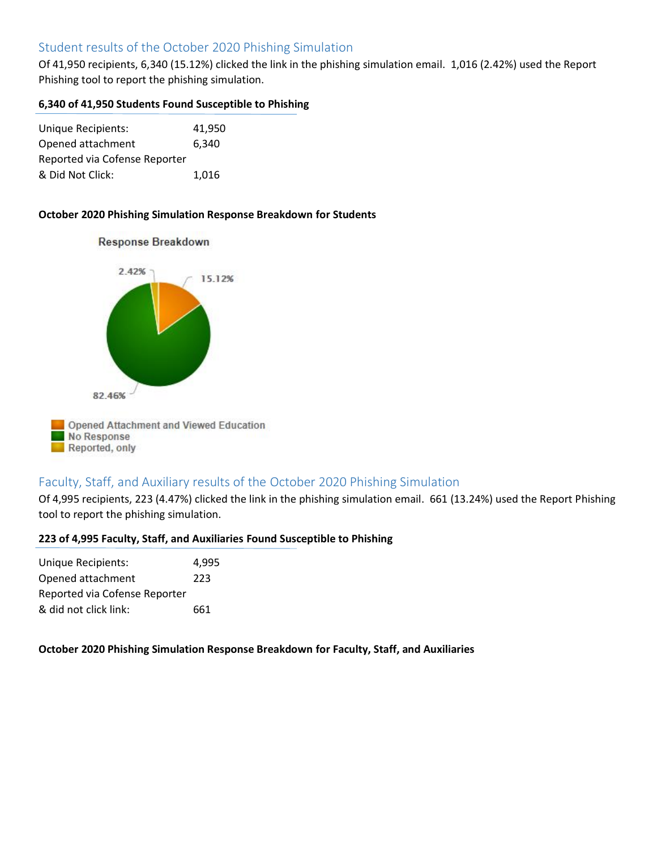# Student results of the October 2020 Phishing Simulation

Of 41,950 recipients, 6,340 (15.12%) clicked the link in the phishing simulation email. 1,016 (2.42%) used the Report Phishing tool to report the phishing simulation.

#### **6,340 of 41,950 Students Found Susceptible to Phishing**

| <b>Unique Recipients:</b>     | 41.950 |
|-------------------------------|--------|
| Opened attachment             | 6,340  |
| Reported via Cofense Reporter |        |
| & Did Not Click:              | 1.016  |

Response Breakdown

#### **October 2020 Phishing Simulation Response Breakdown for Students**



## Faculty, Staff, and Auxiliary results of the October 2020 Phishing Simulation

Of 4,995 recipients, 223 (4.47%) clicked the link in the phishing simulation email. 661 (13.24%) used the Report Phishing tool to report the phishing simulation.

#### **223 of 4,995 Faculty, Staff, and Auxiliaries Found Susceptible to Phishing**

| Unique Recipients:            | 4.995 |
|-------------------------------|-------|
| Opened attachment             | 223   |
| Reported via Cofense Reporter |       |
| & did not click link:         | 661   |

#### **October 2020 Phishing Simulation Response Breakdown for Faculty, Staff, and Auxiliaries**